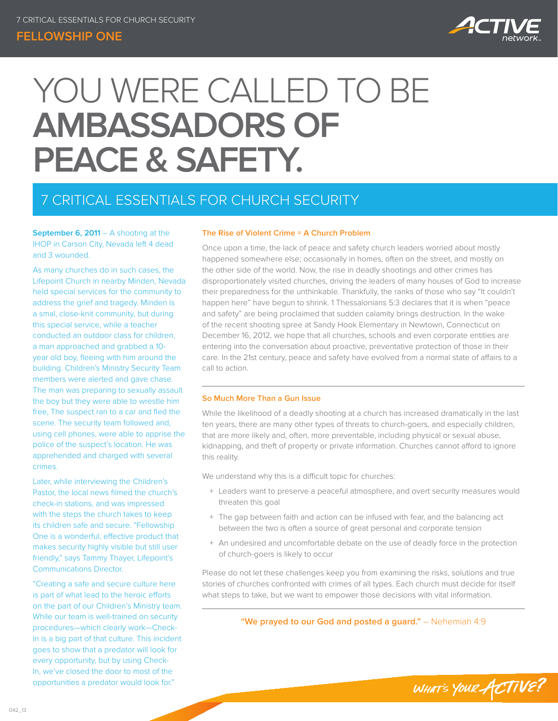### **Fellowship One**



# YOU WERE CALLED TO BE **AMBASSADORS OF PEACE & SAFETY.**

# 7 CRITICAL ESSENTIALS FOR CHURCH SECURITY

**September 6, 2011** – A shooting at the IHOP in Carson City, Nevada left 4 dead and 3 wounded.

As many churches do in such cases, the Lifepoint Church in nearby Minden, Nevada held special services for the community to address the grief and tragedy. Minden is a smal, close-knit community, but during this special service, while a teacher conducted an outdoor class for children, a man approached and grabbed a 10 year old boy, fleeing with him around the building. Children's Ministry Security Team members were alerted and gave chase. The man was preparing to sexually assault the boy but they were able to wrestle him free, The suspect ran to a car and fled the scene. The security team followed and, using cell phones, were able to apprise the police of the suspect's location. He was apprehended and charged with several crimes.

Later, while interviewing the Children's Pastor, the local news filmed the church's check-in stations, and was impressed with the steps the church takes to keep its children safe and secure. "Fellowship One is a wonderful, effective product that makes security highly visible but still user friendly," says Tammy Thayer, Lifepoint's Communications Director.

"Creating a safe and secure culture here is part of what lead to the heroic efforts on the part of our Children's Ministry team. While our team is well-trained on security procedures—which clearly work—Check-In is a big part of that culture. This incident goes to show that a predator will look for every opportunity, but by using Check-In, we've closed the door to most of the opportunities a predator would look for."

#### **The Rise of Violent Crime = A Church Problem**

Once upon a time, the lack of peace and safety church leaders worried about mostly happened somewhere else; occasionally in homes, often on the street, and mostly on the other side of the world. Now, the rise in deadly shootings and other crimes has disproportionately visited churches, driving the leaders of many houses of God to increase their preparedness for the unthinkable. Thankfully, the ranks of those who say "It couldn't happen here" have begun to shrink. 1 Thessalonians 5:3 declares that it is when "peace and safety" are being proclaimed that sudden calamity brings destruction. In the wake of the recent shooting spree at Sandy Hook Elementary in Newtown, Connecticut on December 16, 2012, we hope that all churches, schools and even corporate entities are entering into the conversation about proactive, preventative protection of those in their care. In the 21st century, peace and safety have evolved from a normal state of affairs to a call to action.

#### **So Much More Than a Gun Issue**

While the likelihood of a deadly shooting at a church has increased dramatically in the last ten years, there are many other types of threats to church-goers, and especially children, that are more likely and, often, more preventable, including physical or sexual abuse, kidnapping, and theft of property or private information. Churches cannot afford to ignore this reality.

We understand why this is a difficult topic for churches:

- + Leaders want to preserve a peaceful atmosphere, and overt security measures would threaten this goal
- + The gap between faith and action can be infused with fear, and the balancing act between the two is often a source of great personal and corporate tension
- + An undesired and uncomfortable debate on the use of deadly force in the protection of church-goers is likely to occur

Please do not let these challenges keep you from examining the risks, solutions and true stories of churches confronted with crimes of all types. Each church must decide for itself what steps to take, but we want to empower those decisions with vital information.

**"We prayed to our God and posted a guard."** – Nehemiah 4:9

WHAT'S YOUR ACTIVE?